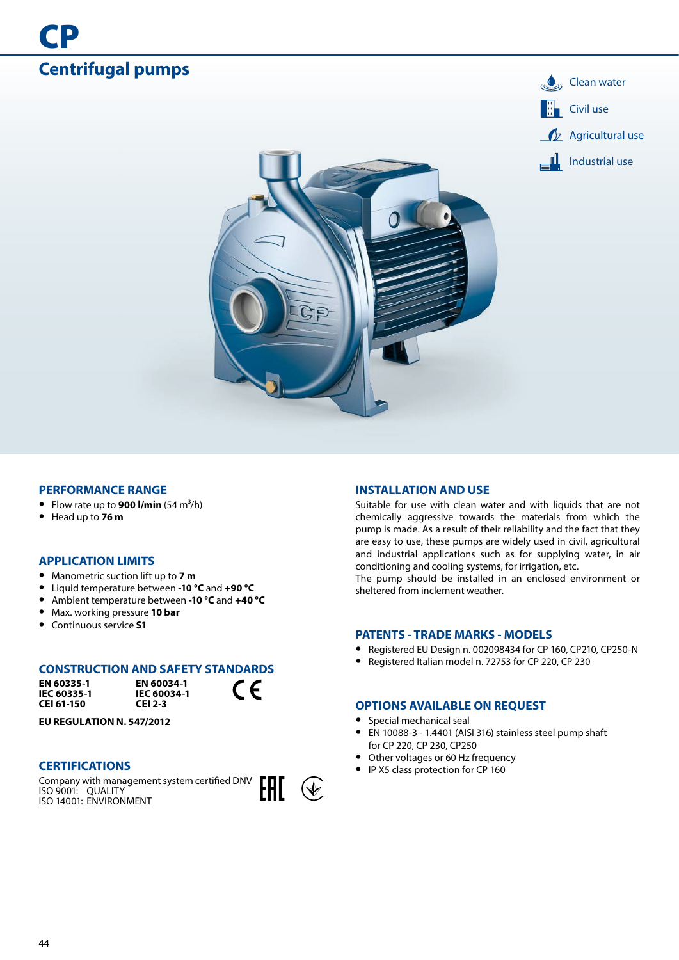

### **PERFORMANCE RANGE**

- Flow rate up to **900 l/min**  $(54 \text{ m}^3/\text{h})$
- **•** Head up to **76 m**

## **APPLICATION LIMITS**

- **•** Manometric suction lift up to **7 m**
- **•** Liquid temperature between **-10 °C** and **+90 °C**
- **•** Ambient temperature between **-10 °C** and **+40 °C**
- **•** Max. working pressure **10 bar**
- **•** Continuous service **S1**

### **CONSTRUCTION AND SAFETY STANDARDS**

**EN 60335-1 IEC 60335-1 CEI 61-150**

**EN 60034-1 IEC 60034-1 CEI 2-3**

 $\epsilon$ 

**EU REGULATION N. 547/2012**

#### **CERTIFICATIONS**

Company with management system certified DNV ISO 9001: QUALITY ISO 14001: ENVIRONMENT



#### **INSTALLATION AND USE**

Suitable for use with clean water and with liquids that are not chemically aggressive towards the materials from which the pump is made. As a result of their reliability and the fact that they are easy to use, these pumps are widely used in civil, agricultural and industrial applications such as for supplying water, in air conditioning and cooling systems, for irrigation, etc.

The pump should be installed in an enclosed environment or sheltered from inclement weather.

### **PATENTS - TRADE MARKS - MODELS**

- **•** Registered EU Design n. 002098434 for CP 160, CP210, CP250-N
- **•** Registered Italian model n. 72753 for CP 220, CP 230

### **OPTIONS AVAILABLE ON REQUEST**

- **•** Special mechanical seal
- **•** EN 10088-3 1.4401 (AISI 316) stainless steel pump shaft for CP 220, CP 230, CP250
- **•** Other voltages or 60 Hz frequency
- **•** IP X5 class protection for CP 160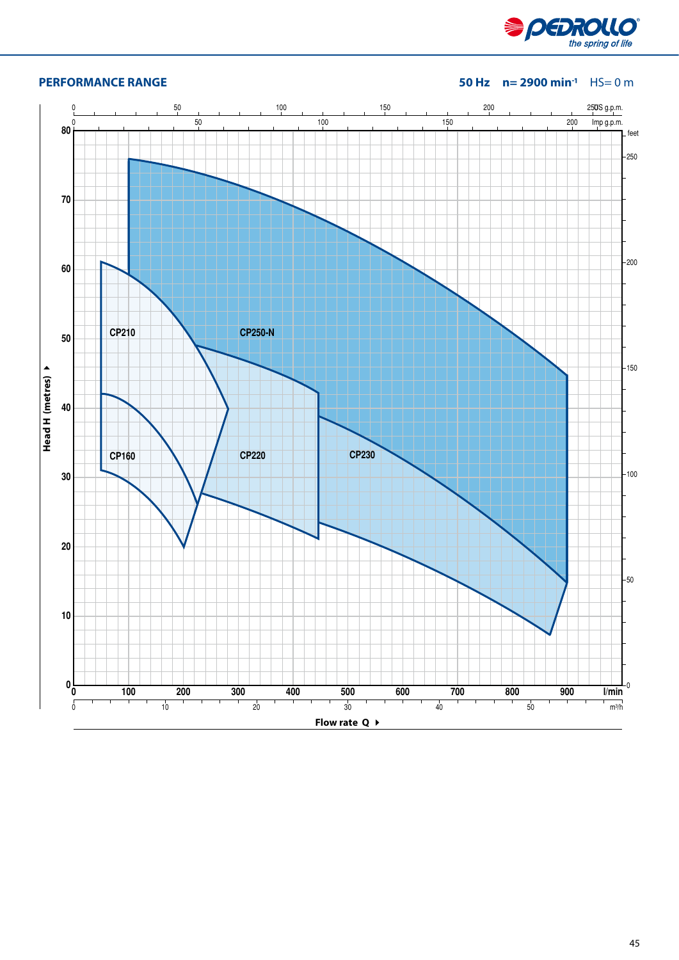

# **PERFORMANCE RANGE 50 Hz n= 2900 min-1** HS= 0 m

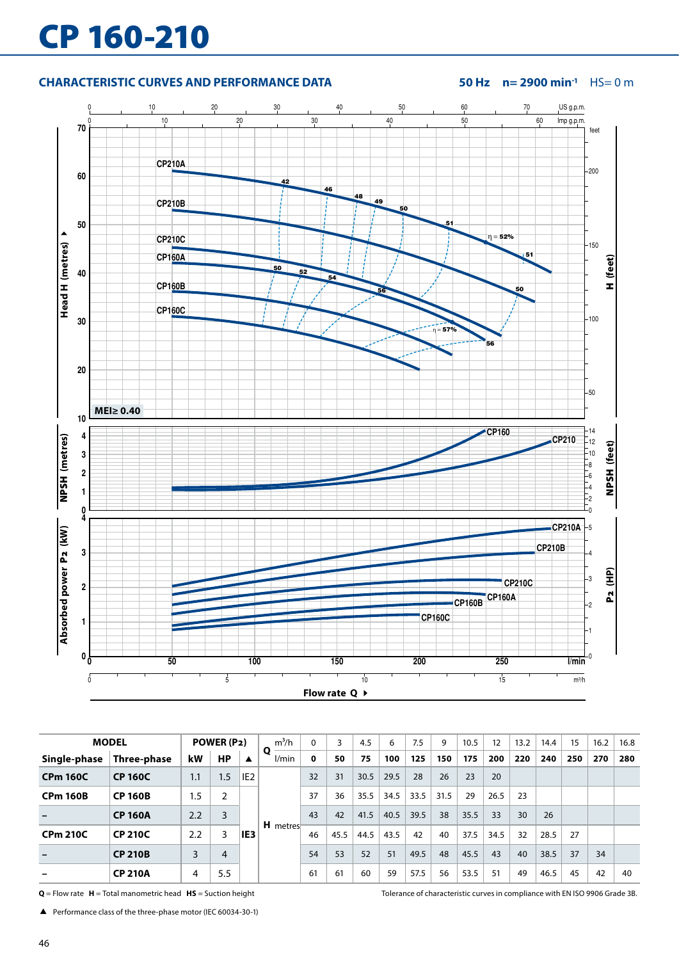# CP 160-210

# **CHARACTERISTIC CURVES AND PERFORMANCE DATA 50 Hz n= 2900 min-1** HS= 0 m



|                          | <b>MODEL</b>   |     | POWER (P2)       |                  | $m^3/h$               | 0  |      | 4.5  | 6    | 7.5  | 9    | 10.5 | 12   | 13.2 | 14.4 | 15  | 16.2 | 16.8 |
|--------------------------|----------------|-----|------------------|------------------|-----------------------|----|------|------|------|------|------|------|------|------|------|-----|------|------|
| Single-phase             | Three-phase    | kW  | <b>HP</b>        | $\blacktriangle$ | Ο<br>l/min            | 0  | 50   | 75   | 100  | 125  | 150  | 175  | 200  | 220  | 240  | 250 | 270  | 280  |
| <b>CPm 160C</b>          | <b>CP 160C</b> | 1.1 | 1.5 <sup>7</sup> | IE <sub>2</sub>  |                       | 32 | 31   | 30.5 | 29.5 | 28   | 26   | 23   | 20   |      |      |     |      |      |
| <b>CPm 160B</b>          | <b>CP 160B</b> | 1.5 | 2                |                  |                       | 37 | 36   | 35.5 | 34.5 | 33.5 | 31.5 | 29   | 26.5 | 23   |      |     |      |      |
|                          | <b>CP 160A</b> | 2.2 | 3                |                  |                       | 43 | 42   | 41.5 | 40.5 | 39.5 | 38   | 35.5 | 33   | 30   | 26   |     |      |      |
| <b>CPm 210C</b>          | <b>CP 210C</b> | 2.2 | 3                | IE3              | H metres <sup>-</sup> | 46 | 45.5 | 44.5 | 43.5 | 42   | 40   | 37.5 | 34.5 | 32   | 28.5 | 27  |      |      |
| $\rightarrow$            | <b>CP 210B</b> | 3   | 4                |                  |                       | 54 | 53   | 52   | 51   | 49.5 | 48   | 45.5 | 43   | 40   | 38.5 | 37  | 34   |      |
| $\overline{\phantom{0}}$ | <b>CP 210A</b> | 4   | 5.5              |                  |                       | 61 | 61   | 60   | 59   | 57.5 | 56   | 53.5 | 51   | 49   | 46.5 | 45  | 42   | 40   |

**Q** = Flow rate **H** = Total manometric head **HS** = Suction height Tolerance of characteristic curves in compliance with EN ISO 9906 Grade 3B.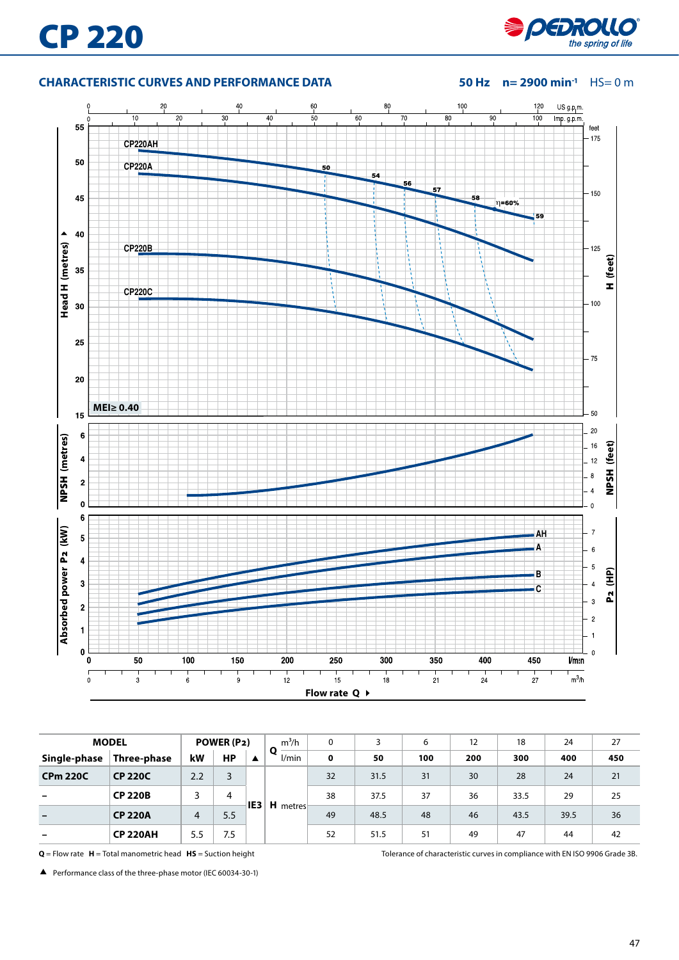# **CHARACTERISTIC CURVES AND PERFORMANCE DATA 50 Hz n= 2900 min-1** HS= 0 m



|                 | <b>MODEL</b>    |                | POWER (P2) |     | $m^3/h$<br>Ο | 0           | 3    | 6   | 12  | 18   | 24   | 27  |
|-----------------|-----------------|----------------|------------|-----|--------------|-------------|------|-----|-----|------|------|-----|
| Single-phase    | Three-phase     | kW             | <b>HP</b>  | ▲   | l/min        | $\mathbf 0$ | 50   | 100 | 200 | 300  | 400  | 450 |
| <b>CPm 220C</b> | <b>CP 220C</b>  | 2.2            | 3          |     |              | 32          | 31.5 | 31  | 30  | 28   | 24   | 21  |
|                 | <b>CP 220B</b>  | 3              | 4          | IE3 | H metres     | 38          | 37.5 | 37  | 36  | 33.5 | 29   | 25  |
|                 | <b>CP 220A</b>  | $\overline{4}$ | 5.5        |     |              | 49          | 48.5 | 48  | 46  | 43.5 | 39.5 | 36  |
|                 | <b>CP 220AH</b> | 5.5            | 7.5        |     |              | 52          | 51.5 | 51  | 49  | 47   | 44   | 42  |

**Q** = Flow rate **H** = Total manometric head **HS** = Suction height Tolerance of characteristic curves in compliance with EN ISO 9906 Grade 3B.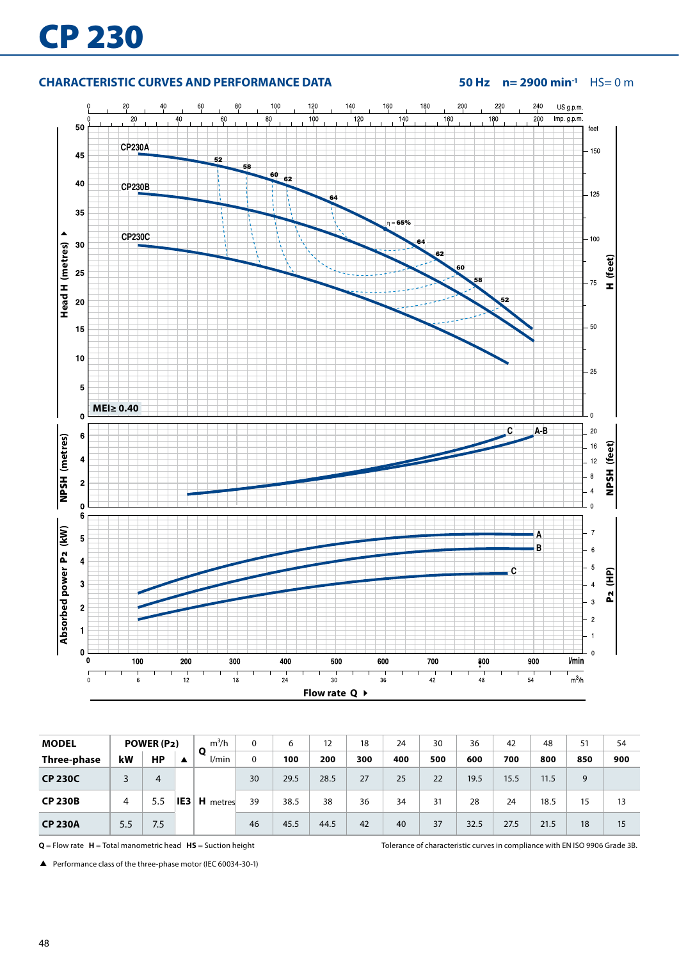# **CHARACTERISTIC CURVES AND PERFORMANCE DATA 50 Hz n= 2900 min-1** HS= 0 m



| <b>MODEL</b>   |     | POWER (P2) |     | $m^3/h$         | 0  | 6    | 12   | 18  | 24  | 30  | 36   | 42   | 48   | 51  | 54  |
|----------------|-----|------------|-----|-----------------|----|------|------|-----|-----|-----|------|------|------|-----|-----|
| Three-phase    | kW  | <b>HP</b>  | ▲   | l/min           | 0  | 100  | 200  | 300 | 400 | 500 | 600  | 700  | 800  | 850 | 900 |
| <b>CP 230C</b> | 3   | 4          |     |                 | 30 | 29.5 | 28.5 | 27  | 25  | 22  | 19.5 | 15.5 | 11.5 | 9   |     |
| <b>CP 230B</b> | 4   | 5.5        | IE3 | <b>H</b> metres | 39 | 38.5 | 38   | 36  | 34  | 31  | 28   | 24   | 18.5 | 15  | 13  |
| <b>CP 230A</b> | 5.5 | 7.5        |     |                 | 46 | 45.5 | 44.5 | 42  | 40  | 37  | 32.5 | 27.5 | 21.5 | 18  | 15  |

**Q** = Flow rate **H** = Total manometric head **HS** = Suction height Tolerance of characteristic curves in compliance with EN ISO 9906 Grade 3B.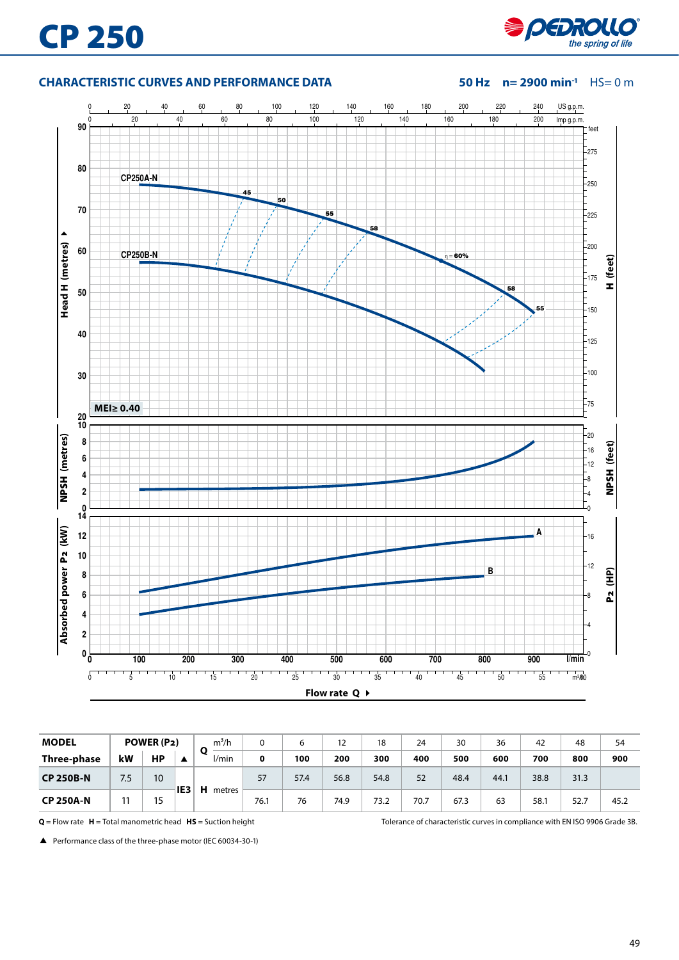

## **CHARACTERISTIC CURVES AND PERFORMANCE DATA 50 Hz n= 2900 min-1** HS= 0 m



| <b>MODEL</b>     |     | POWER (P2)      |                 | $m^3/h$     |      |      | 12   | 18   | 24   | 30   | 36   | 42   | 48   | 54   |
|------------------|-----|-----------------|-----------------|-------------|------|------|------|------|------|------|------|------|------|------|
| Three-phase      | kW  | НP              |                 | О<br>l/min  | 0    | 100  | 200  | 300  | 400  | 500  | 600  | 700  | 800  | 900  |
| <b>CP 250B-N</b> | 7.5 | 10 <sup>°</sup> |                 |             | 57   | 57.4 | 56.8 | 54.8 | 52   | 48.4 | 44.1 | 38.8 | 31.3 |      |
| <b>CP 250A-N</b> |     | 15              | IE <sub>3</sub> | н<br>metres | 76.1 | 76   | 74.9 | 73.2 | 70.7 | 67.3 | 63   | 58.  | 52.7 | 45.2 |

**Q** = Flow rate **H** = Total manometric head **HS** = Suction height Tolerance of characteristic curves in compliance with EN ISO 9906 Grade 3B.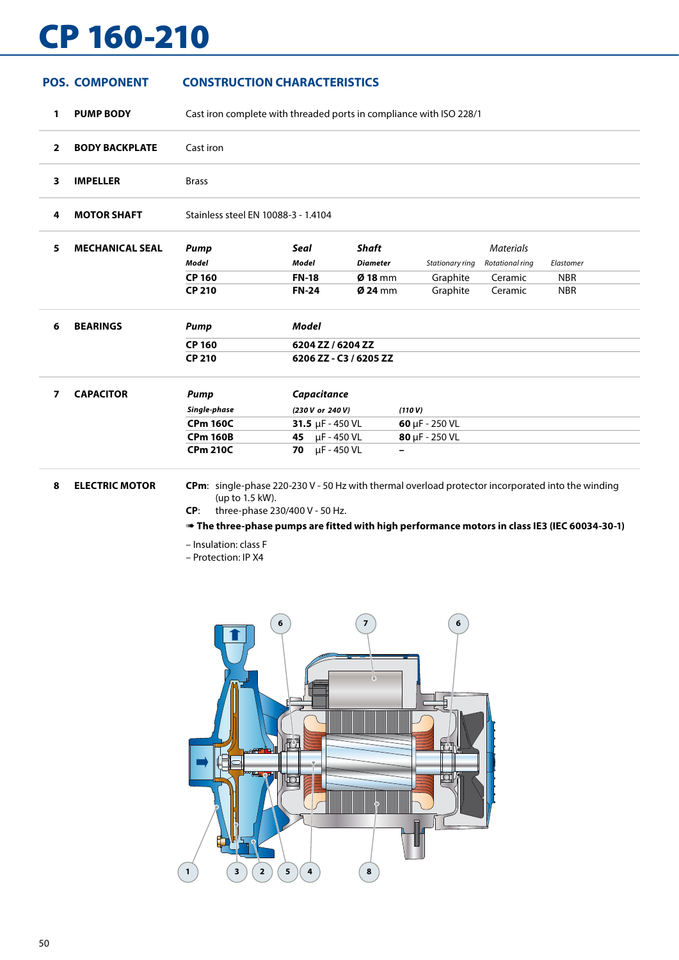# CP 160-210

# **POS. COMPONENT CONSTRUCTION CHARACTERISTICS**

**1 PUMP BODY** Cast iron complete with threaded ports in compliance with ISO 228/1

| $\overline{2}$ | <b>BODY BACKPLATE</b> | Cast iron                           |
|----------------|-----------------------|-------------------------------------|
|                | <b>IMPELLER</b>       | <b>Brass</b>                        |
| л              | <b>MOTOR SHAFT</b>    | Stainless steel EN 10088-3 - 1.4104 |

| <b>MECHANICAL SEAL</b> | Pump          | Seal         | Shaft             |                 | Materials       |            |  |
|------------------------|---------------|--------------|-------------------|-----------------|-----------------|------------|--|
|                        | Model         | Model        | Diameter          | Stationary ring | Rotational ring | Elastomer  |  |
|                        | <b>CP 160</b> | <b>FN-18</b> | $\emptyset$ 18 mm | Graphite        | Ceramic         | <b>NBR</b> |  |
|                        | <b>CP 210</b> | <b>FN-24</b> | $\emptyset$ 24 mm | Graphite        | Ceramic         | <b>NBR</b> |  |
|                        |               |              |                   |                 |                 |            |  |

| <b>BEARINGS</b> | Pump   | Model                  |
|-----------------|--------|------------------------|
|                 | CP 160 | 6204 ZZ / 6204 ZZ      |
|                 | CP 210 | 6206 ZZ - C3 / 6205 ZZ |
|                 |        |                        |

| <b>CAPACITOR</b> | Pump            | Capacitance                  |                             |
|------------------|-----------------|------------------------------|-----------------------------|
|                  | Single-phase    | (230 V or 240 V)             | (110 V)                     |
|                  | <b>CPm 160C</b> | <b>31.5</b> $\mu$ F - 450 VL | 60 $\mu$ F - 250 VL         |
|                  | <b>CPm 160B</b> | <b>45</b> µF - 450 VL        | $80 \mu F - 250 \text{ VL}$ |
|                  | <b>CPm 210C</b> | <b>70</b> $\mu$ F - 450 VL   | $\overline{\phantom{a}}$    |

**8 ELECTRIC MOTOR CPm**: single-phase 220-230 V - 50 Hz with thermal overload protector incorporated into the winding (up to 1.5 kW).

**CP**: three-phase 230/400 V - 50 Hz.

➠ **The three-phase pumps are fitted with high performance motors in class IE3 (IEC 60034-30-1)**

– Insulation: class F

– Protection: IP X4

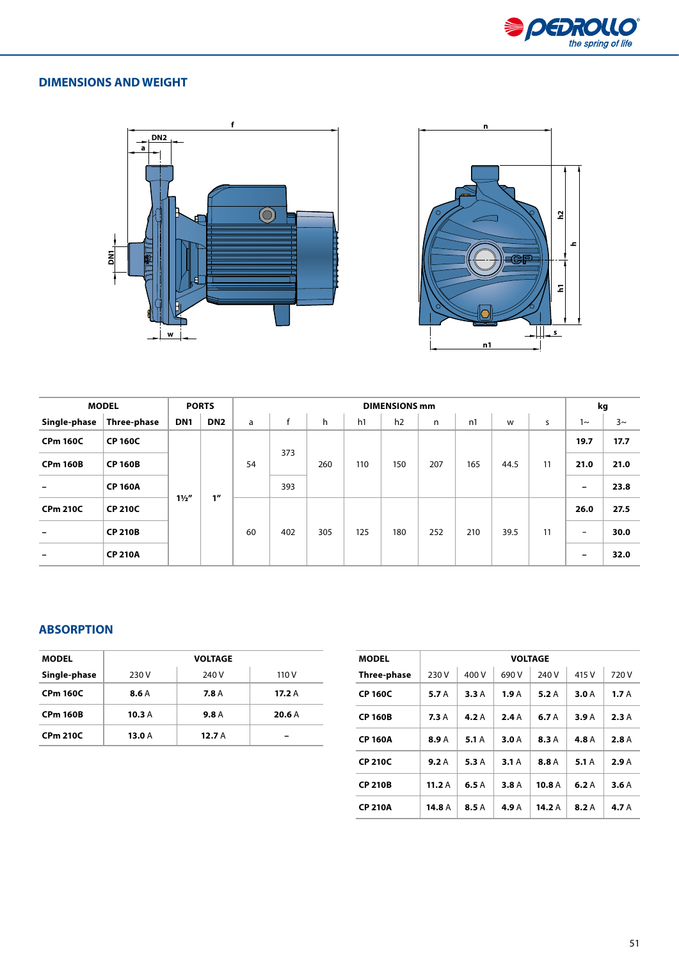

# **DIMENSIONS AND WEIGHT**





 $\ddot{\phantom{a}}$ 

|                 | <b>MODEL</b>   |                 | <b>PORTS</b>    | <b>DIMENSIONS mm</b> |     |     |     |     |     |     |      |    |                          | kg      |  |
|-----------------|----------------|-----------------|-----------------|----------------------|-----|-----|-----|-----|-----|-----|------|----|--------------------------|---------|--|
| Single-phase    | Three-phase    | DN <sub>1</sub> | DN <sub>2</sub> | a                    | f   | h   | h1  | h2  | n   | n1  | w    | s  | ∼                        | $3\sim$ |  |
| <b>CPm 160C</b> | <b>CP 160C</b> |                 |                 |                      |     |     |     |     |     |     |      |    | 19.7                     | 17.7    |  |
| <b>CPm 160B</b> | <b>CP 160B</b> |                 |                 | 54                   | 373 | 260 | 110 | 150 | 207 | 165 | 44.5 | 11 | 21.0                     | 21.0    |  |
|                 | <b>CP 160A</b> |                 | 1 <sup>''</sup> |                      | 393 |     |     |     |     |     |      |    | -                        | 23.8    |  |
| <b>CPm 210C</b> | <b>CP 210C</b> | $1\frac{1}{2}$  |                 | 60                   | 402 | 305 | 125 |     |     |     |      |    | 26.0                     | 27.5    |  |
|                 | <b>CP 210B</b> |                 |                 |                      |     |     |     | 180 | 252 | 210 | 39.5 | 11 | $\overline{\phantom{0}}$ | 30.0    |  |
|                 | <b>CP 210A</b> |                 |                 |                      |     |     |     |     |     |     |      |    | -                        | 32.0    |  |

## **ABSORPTION**

| <b>MODEL</b>    |       | <b>VOLTAGE</b> |       |
|-----------------|-------|----------------|-------|
| Single-phase    | 230 V | 240 V          | 110 V |
| <b>CPm 160C</b> | 8.6A  | 7.8A           | 17.2A |
| <b>CPm 160B</b> | 10.3A | 9.8A           | 20.6A |
| <b>CPm 210C</b> | 13.0A | 12.7A          |       |

| <b>MODEL</b>   |       |       |       | <b>VOLTAGE</b>    |       |       |
|----------------|-------|-------|-------|-------------------|-------|-------|
| Three-phase    | 230 V | 400 V | 690 V | 240 V             | 415 V | 720 V |
| <b>CP 160C</b> | 5.7 A | 3.3A  | 1.9 A | 5.2A              | 3.0A  | 1.7A  |
| <b>CP 160B</b> | 7.3A  | 4.2 A | 2.4A  | 6.7 A             | 3.9A  | 2.3A  |
| <b>CP 160A</b> | 8.9 A | 5.1 A | 3.0 A | <b>8.3 A</b>      | 4.8 A | 2.8A  |
| <b>CP 210C</b> | 9.2A  | 5.3A  | 3.1A  | 8.8 A             | 5.1A  | 2.9A  |
| <b>CP 210B</b> | 11.2A | 6.5A  | 3.8A  | 10.8 <sub>A</sub> | 6.2A  | 3.6A  |
| <b>CP 210A</b> | 14.8A | 8.5 A | 4.9 A | 14.2A             | 8.2A  | 4.7 A |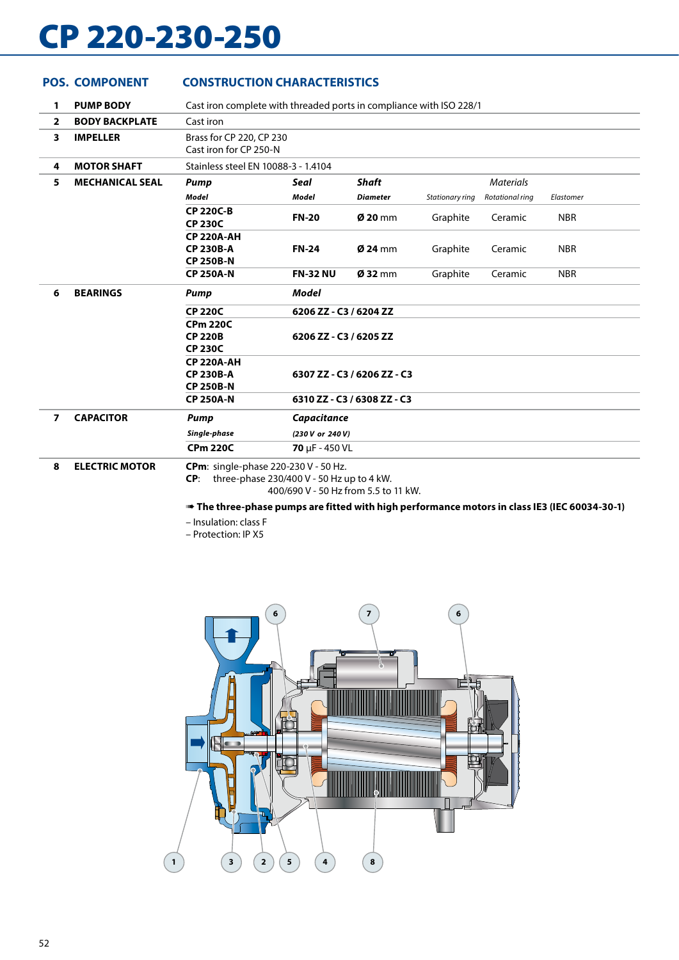# CP 220-230-250

**POS. COMPONENT CONSTRUCTION CHARACTERISTICS**

### **1 PUMP BODY** Cast iron complete with threaded ports in compliance with ISO 228/1 **2 BODY BACKPLATE** Cast iron **3 IMPELLER** Brass for CP 220, CP 230 Cast iron for CP 250-N **4 MOTOR SHAFT** Stainless steel EN 10088-3 - 1.4104 **5 MECHANICAL SEAL** *Pump Seal Shaft Materials Model Model Diameter Stationary ring Rotational ring Elastomer* **CP 220C-B CP 230C FN-20 Ø 20** mm Graphite Ceramic NBR **CP 220A-AH CP 230B-A CP 250B-N FN-24 Ø 24** mm Graphite Ceramic NBR **CP 250A-N FN-32 NU Ø 32** mm Graphite Ceramic NBR **6 BEARINGS** *Pump Model* **CP 220C 6206 ZZ - C3 / 6204 ZZ CPm 220C CP 220B CP 230C 6206 ZZ - C3 / 6205 ZZ CP 220A-AH CP 230B-A CP 250B-N 6307 ZZ - C3 / 6206 ZZ - C3 CP 250A-N 6310 ZZ - C3 / 6308 ZZ - C3 7 CAPACITOR** *Pump Capacitance Single-phase (230 V or 240 V)* **CPm 220C 70** μF - 450 VL **8 ELECTRIC MOTOR CPm**: single-phase 220-230 V - 50 Hz. **CP**: three-phase 230/400 V - 50 Hz up to 4 kW.

400/690 V - 50 Hz from 5.5 to 11 kW.

### ➠ **The three-phase pumps are fitted with high performance motors in class IE3 (IEC 60034-30-1)**

– Insulation: class F

– Protection: IP X5